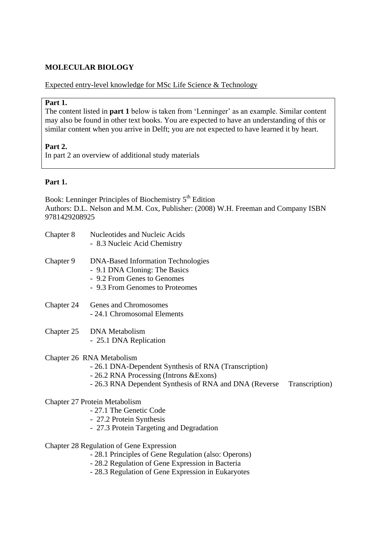# **MOLECULAR BIOLOGY**

## Expected entry-level knowledge for MSc Life Science & Technology

#### **Part 1.**

The content listed in **part 1** below is taken from 'Lenninger' as an example. Similar content may also be found in other text books. You are expected to have an understanding of this or similar content when you arrive in Delft; you are not expected to have learned it by heart.

## **Part 2.**

In part 2 an overview of additional study materials

# **Part 1.**

Book: Lenninger Principles of Biochemistry 5<sup>th</sup> Edition Authors: D.L. Nelson and M.M. Cox, Publisher: (2008) W.H. Freeman and Company ISBN 9781429208925

- Chapter 8 Nucleotides and Nucleic Acids - 8.3 Nucleic Acid Chemistry Chapter 9 DNA-Based Information Technologies - 9.1 DNA Cloning: The Basics - 9.2 From Genes to Genomes - 9.3 From Genomes to Proteomes Chapter 24 Genes and Chromosomes
	- 24.1 Chromosomal Elements
- Chapter 25 DNA Metabolism - 25.1 DNA Replication
- Chapter 26 RNA Metabolism
	- 26.1 DNA-Dependent Synthesis of RNA (Transcription)
	- 26.2 RNA Processing (Introns &Exons)
	- 26.3 RNA Dependent Synthesis of RNA and DNA (Reverse Transcription)

#### Chapter 27 Protein Metabolism

- 27.1 The Genetic Code
- 27.2 Protein Synthesis
- 27.3 Protein Targeting and Degradation
- Chapter 28 Regulation of Gene Expression
	- 28.1 Principles of Gene Regulation (also: Operons)
	- 28.2 Regulation of Gene Expression in Bacteria
	- 28.3 Regulation of Gene Expression in Eukaryotes